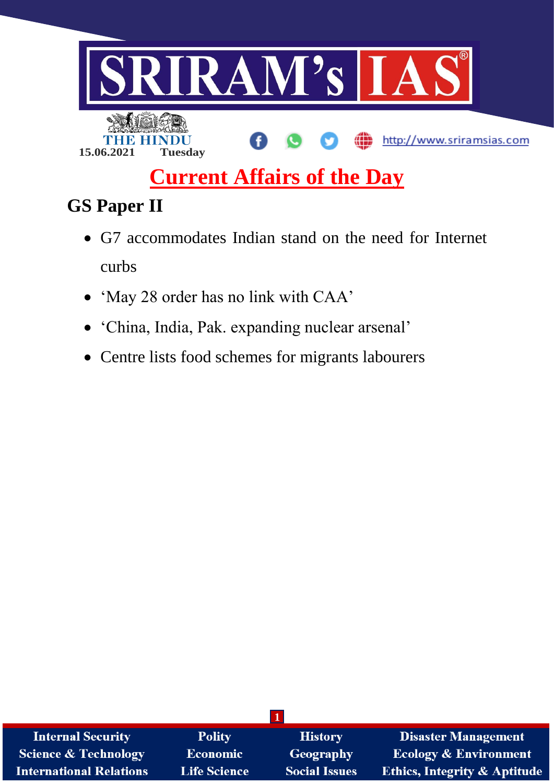

# **Current Affairs of the Day**

# **GS Paper II**

- G7 accommodates Indian stand on the need for Internet curbs
- 'May 28 order has no link with CAA'
- 'China, India, Pak. expanding nuclear arsenal'
- Centre lists food schemes for migrants labourers

| <b>Internal Security</b>       | <b>Polity</b>       | <b>History</b>       | <b>Disaster Management</b>              |
|--------------------------------|---------------------|----------------------|-----------------------------------------|
| Science & Technology           | <b>Economic</b>     | Geography            | <b>Ecology &amp; Environment</b>        |
| <b>International Relations</b> | <b>Life Science</b> | <b>Social Issues</b> | <b>Ethics, Integrity &amp; Aptitude</b> |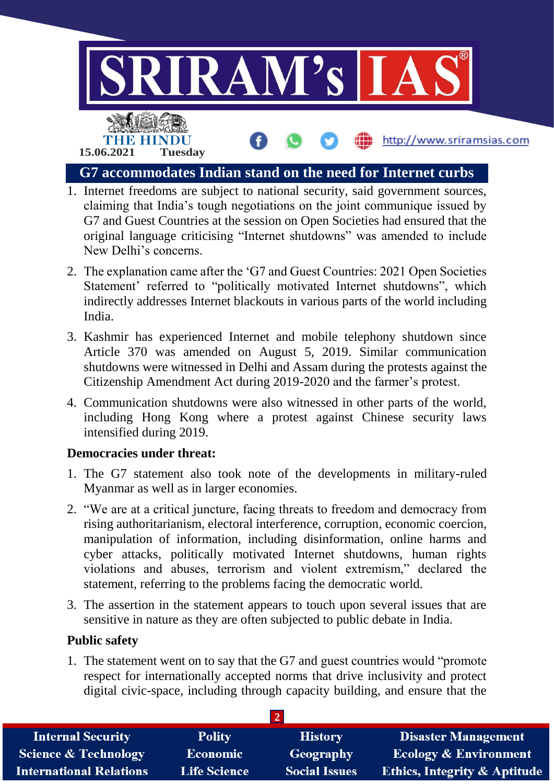

- 1. Internet freedoms are subject to national security, said government sources, claiming that India's tough negotiations on the joint communique issued by G7 and Guest Countries at the session on Open Societies had ensured that the original language criticising "Internet shutdowns" was amended to include New Delhi's concerns.
- 2. The explanation came after the 'G7 and Guest Countries: 2021 Open Societies Statement' referred to "politically motivated Internet shutdowns", which indirectly addresses Internet blackouts in various parts of the world including India.
- 3. Kashmir has experienced Internet and mobile telephony shutdown since Article 370 was amended on August 5, 2019. Similar communication shutdowns were witnessed in Delhi and Assam during the protests against the Citizenship Amendment Act during 2019-2020 and the farmer's protest.
- 4. Communication shutdowns were also witnessed in other parts of the world, including Hong Kong where a protest against Chinese security laws intensified during 2019.

## **Democracies under threat:**

- 1. The G7 statement also took note of the developments in military-ruled Myanmar as well as in larger economies.
- 2. "We are at a critical juncture, facing threats to freedom and democracy from rising authoritarianism, electoral interference, corruption, economic coercion, manipulation of information, including disinformation, online harms and cyber attacks, politically motivated Internet shutdowns, human rights violations and abuses, terrorism and violent extremism," declared the statement, referring to the problems facing the democratic world.
- 3. The assertion in the statement appears to touch upon several issues that are sensitive in nature as they are often subjected to public debate in India.

## **Public safety**

1. The statement went on to say that the G7 and guest countries would "promote respect for internationally accepted norms that drive inclusivity and protect digital civic-space, including through capacity building, and ensure that the

| <b>Internal Security</b>        | <b>Polity</b>       | <b>History</b>       | <b>Disaster Management</b>              |
|---------------------------------|---------------------|----------------------|-----------------------------------------|
| <b>Science &amp; Technology</b> | <b>Economic</b>     | Geography            | <b>Ecology &amp; Environment</b>        |
| <b>International Relations</b>  | <b>Life Science</b> | <b>Social Issues</b> | <b>Ethics, Integrity &amp; Aptitude</b> |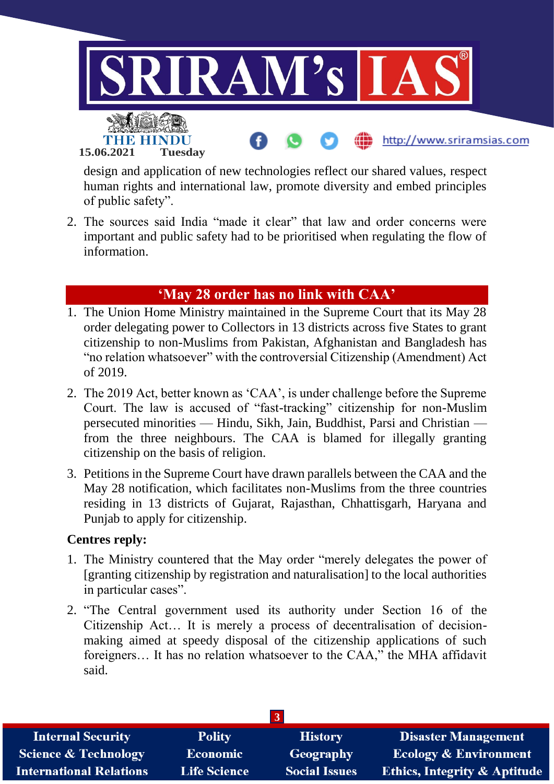

design and application of new technologies reflect our shared values, respect human rights and international law, promote diversity and embed principles of public safety".

2. The sources said India "made it clear" that law and order concerns were important and public safety had to be prioritised when regulating the flow of information.

# **'May 28 order has no link with CAA'**

- 1. The Union Home Ministry maintained in the Supreme Court that its May 28 order delegating power to Collectors in 13 districts across five States to grant citizenship to non-Muslims from Pakistan, Afghanistan and Bangladesh has "no relation whatsoever" with the controversial Citizenship (Amendment) Act of 2019.
- 2. The 2019 Act, better known as 'CAA', is under challenge before the Supreme Court. The law is accused of "fast-tracking" citizenship for non-Muslim persecuted minorities — Hindu, Sikh, Jain, Buddhist, Parsi and Christian from the three neighbours. The CAA is blamed for illegally granting citizenship on the basis of religion.
- 3. Petitions in the Supreme Court have drawn parallels between the CAA and the May 28 notification, which facilitates non-Muslims from the three countries residing in 13 districts of Gujarat, Rajasthan, Chhattisgarh, Haryana and Punjab to apply for citizenship.

## **Centres reply:**

- 1. The Ministry countered that the May order "merely delegates the power of [granting citizenship by registration and naturalisation] to the local authorities in particular cases".
- 2. "The Central government used its authority under Section 16 of the Citizenship Act… It is merely a process of decentralisation of decisionmaking aimed at speedy disposal of the citizenship applications of such foreigners… It has no relation whatsoever to the CAA," the MHA affidavit said.

| <b>Internal Security</b>        | <b>Polity</b>       | <b>History</b>       | <b>Disaster Management</b>              |
|---------------------------------|---------------------|----------------------|-----------------------------------------|
| <b>Science &amp; Technology</b> | <b>Economic</b>     | Geography            | <b>Ecology &amp; Environment</b>        |
| <b>International Relations</b>  | <b>Life Science</b> | <b>Social Issues</b> | <b>Ethics, Integrity &amp; Aptitude</b> |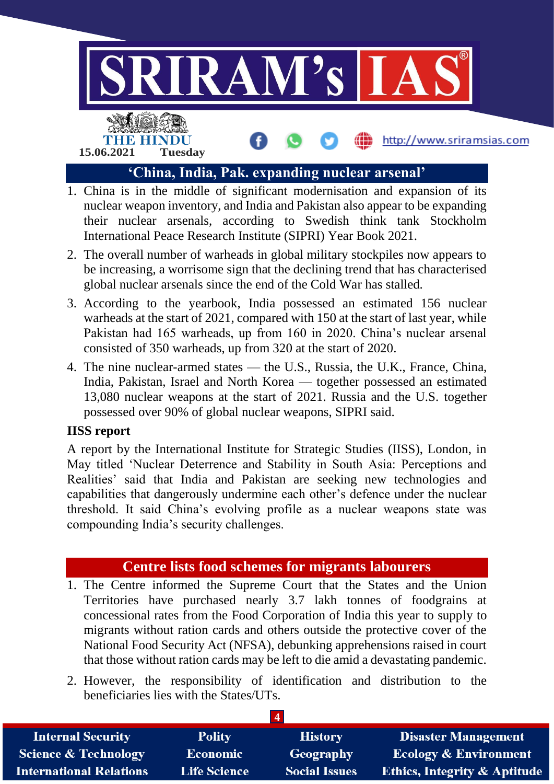

- 1. China is in the middle of significant modernisation and expansion of its nuclear weapon inventory, and India and Pakistan also appear to be expanding their nuclear arsenals, according to Swedish think tank Stockholm International Peace Research Institute (SIPRI) Year Book 2021.
- 2. The overall number of warheads in global military stockpiles now appears to be increasing, a worrisome sign that the declining trend that has characterised global nuclear arsenals since the end of the Cold War has stalled.
- 3. According to the yearbook, India possessed an estimated 156 nuclear warheads at the start of 2021, compared with 150 at the start of last year, while Pakistan had 165 warheads, up from 160 in 2020. China's nuclear arsenal consisted of 350 warheads, up from 320 at the start of 2020.
- 4. The nine nuclear-armed states the U.S., Russia, the U.K., France, China, India, Pakistan, Israel and North Korea — together possessed an estimated 13,080 nuclear weapons at the start of 2021. Russia and the U.S. together possessed over 90% of global nuclear weapons, SIPRI said.

## **IISS report**

A report by the International Institute for Strategic Studies (IISS), London, in May titled 'Nuclear Deterrence and Stability in South Asia: Perceptions and Realities' said that India and Pakistan are seeking new technologies and capabilities that dangerously undermine each other's defence under the nuclear threshold. It said China's evolving profile as a nuclear weapons state was compounding India's security challenges.

# **Centre lists food schemes for migrants labourers**

- 1. The Centre informed the Supreme Court that the States and the Union Territories have purchased nearly 3.7 lakh tonnes of foodgrains at concessional rates from the Food Corporation of India this year to supply to migrants without ration cards and others outside the protective cover of the National Food Security Act (NFSA), debunking apprehensions raised in court that those without ration cards may be left to die amid a devastating pandemic.
- 2. However, the responsibility of identification and distribution to the beneficiaries lies with the States/UTs.

| <b>Internal Security</b>        | <b>Polity</b>   | <b>History</b>       | <b>Disaster Management</b>              |
|---------------------------------|-----------------|----------------------|-----------------------------------------|
| <b>Science &amp; Technology</b> | <b>Economic</b> | <b>Geography</b>     | <b>Ecology &amp; Environment</b>        |
| <b>International Relations</b>  | Life Science    | <b>Social Issues</b> | <b>Ethics, Integrity &amp; Aptitude</b> |